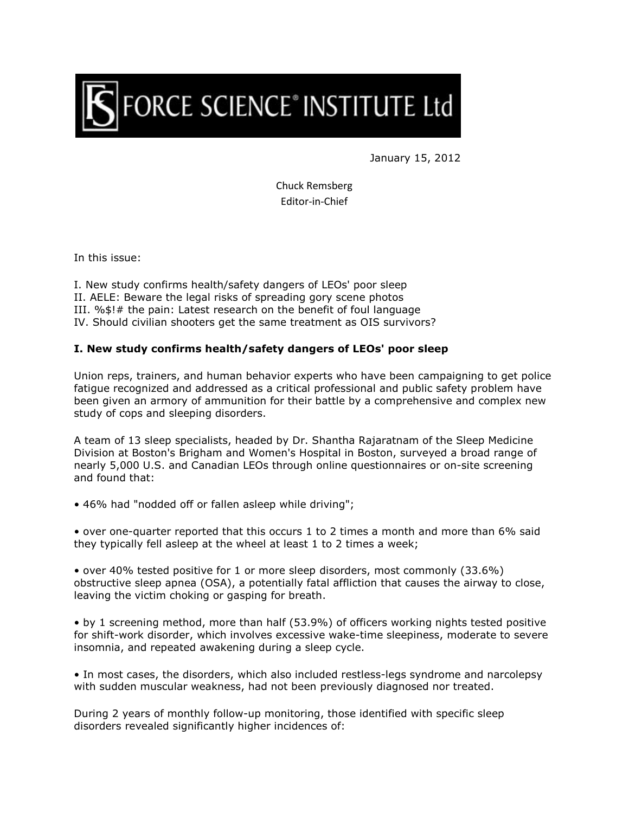

January 15, 2012

Chuck Remsberg Editor-in-Chief

In this issue:

I. New study confirms health/safety dangers of LEOs' poor sleep

II. AELE: Beware the legal risks of spreading gory scene photos

III. %\$!# the pain: Latest research on the benefit of foul language

IV. Should civilian shooters get the same treatment as OIS survivors?

## **I. New study confirms health/safety dangers of LEOs' poor sleep**

Union reps, trainers, and human behavior experts who have been campaigning to get police fatigue recognized and addressed as a critical professional and public safety problem have been given an armory of ammunition for their battle by a comprehensive and complex new study of cops and sleeping disorders.

A team of 13 sleep specialists, headed by Dr. Shantha Rajaratnam of the Sleep Medicine Division at Boston's Brigham and Women's Hospital in Boston, surveyed a broad range of nearly 5,000 U.S. and Canadian LEOs through online questionnaires or on-site screening and found that:

• 46% had "nodded off or fallen asleep while driving";

• over one-quarter reported that this occurs 1 to 2 times a month and more than 6% said they typically fell asleep at the wheel at least 1 to 2 times a week;

• over 40% tested positive for 1 or more sleep disorders, most commonly (33.6%) obstructive sleep apnea (OSA), a potentially fatal affliction that causes the airway to close, leaving the victim choking or gasping for breath.

• by 1 screening method, more than half (53.9%) of officers working nights tested positive for shift-work disorder, which involves excessive wake-time sleepiness, moderate to severe insomnia, and repeated awakening during a sleep cycle.

• In most cases, the disorders, which also included restless-legs syndrome and narcolepsy with sudden muscular weakness, had not been previously diagnosed nor treated.

During 2 years of monthly follow-up monitoring, those identified with specific sleep disorders revealed significantly higher incidences of: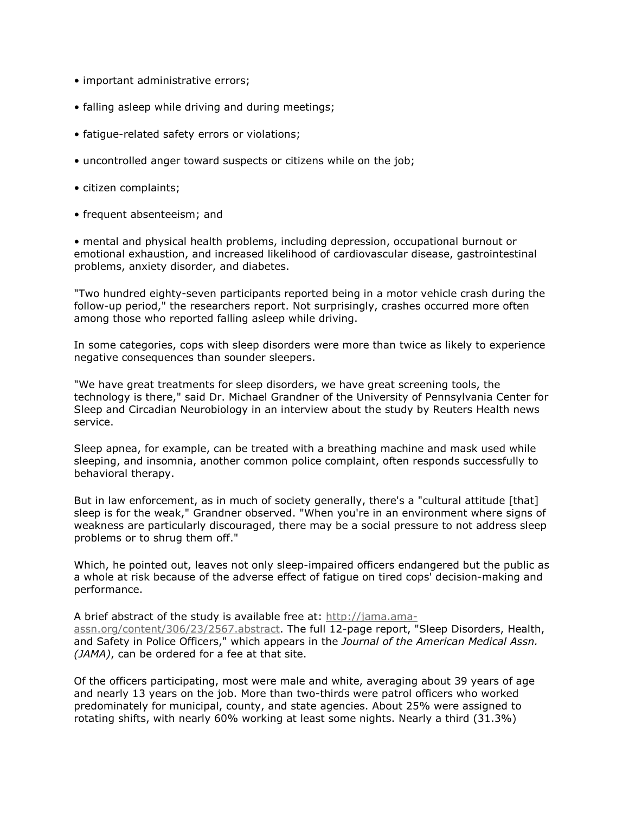- important administrative errors;
- falling asleep while driving and during meetings;
- fatigue-related safety errors or violations;
- uncontrolled anger toward suspects or citizens while on the job;
- citizen complaints;
- frequent absenteeism; and

• mental and physical health problems, including depression, occupational burnout or emotional exhaustion, and increased likelihood of cardiovascular disease, gastrointestinal problems, anxiety disorder, and diabetes.

"Two hundred eighty-seven participants reported being in a motor vehicle crash during the follow-up period," the researchers report. Not surprisingly, crashes occurred more often among those who reported falling asleep while driving.

In some categories, cops with sleep disorders were more than twice as likely to experience negative consequences than sounder sleepers.

"We have great treatments for sleep disorders, we have great screening tools, the technology is there," said Dr. Michael Grandner of the University of Pennsylvania Center for Sleep and Circadian Neurobiology in an interview about the study by Reuters Health news service.

Sleep apnea, for example, can be treated with a breathing machine and mask used while sleeping, and insomnia, another common police complaint, often responds successfully to behavioral therapy.

But in law enforcement, as in much of society generally, there's a "cultural attitude [that] sleep is for the weak," Grandner observed. "When you're in an environment where signs of weakness are particularly discouraged, there may be a social pressure to not address sleep problems or to shrug them off."

Which, he pointed out, leaves not only sleep-impaired officers endangered but the public as a whole at risk because of the adverse effect of fatigue on tired cops' decision-making and performance.

A brief abstract of the study is available free at: http://jama.amaassn.org/content/306/23/2567.abstract. The full 12-page report, "Sleep Disorders, Health, and Safety in Police Officers," which appears in the *Journal of the American Medical Assn. (JAMA)*, can be ordered for a fee at that site.

Of the officers participating, most were male and white, averaging about 39 years of age and nearly 13 years on the job. More than two-thirds were patrol officers who worked predominately for municipal, county, and state agencies. About 25% were assigned to rotating shifts, with nearly 60% working at least some nights. Nearly a third (31.3%)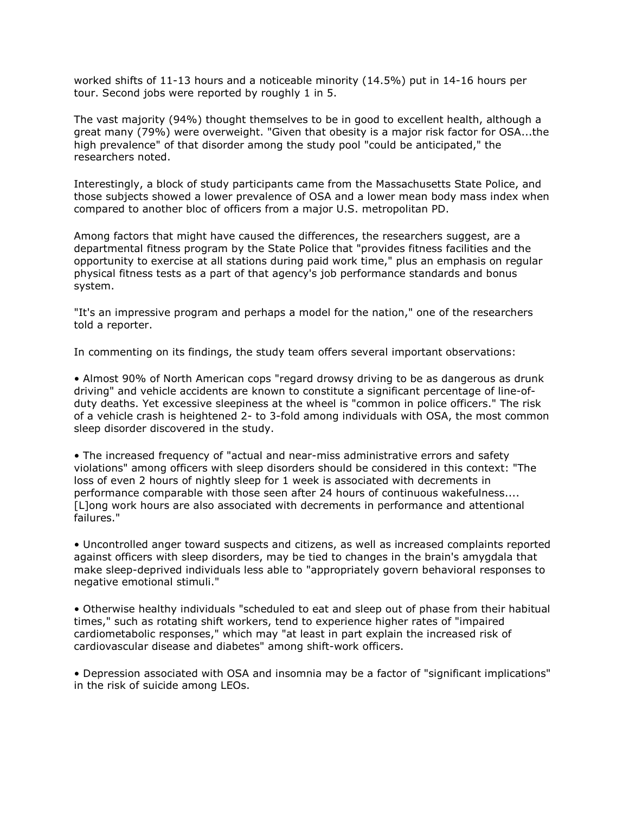worked shifts of 11-13 hours and a noticeable minority (14.5%) put in 14-16 hours per tour. Second jobs were reported by roughly 1 in 5.

The vast majority (94%) thought themselves to be in good to excellent health, although a great many (79%) were overweight. "Given that obesity is a major risk factor for OSA...the high prevalence" of that disorder among the study pool "could be anticipated," the researchers noted.

Interestingly, a block of study participants came from the Massachusetts State Police, and those subjects showed a lower prevalence of OSA and a lower mean body mass index when compared to another bloc of officers from a major U.S. metropolitan PD.

Among factors that might have caused the differences, the researchers suggest, are a departmental fitness program by the State Police that "provides fitness facilities and the opportunity to exercise at all stations during paid work time," plus an emphasis on regular physical fitness tests as a part of that agency's job performance standards and bonus system.

"It's an impressive program and perhaps a model for the nation," one of the researchers told a reporter.

In commenting on its findings, the study team offers several important observations:

• Almost 90% of North American cops "regard drowsy driving to be as dangerous as drunk driving" and vehicle accidents are known to constitute a significant percentage of line-ofduty deaths. Yet excessive sleepiness at the wheel is "common in police officers." The risk of a vehicle crash is heightened 2- to 3-fold among individuals with OSA, the most common sleep disorder discovered in the study.

• The increased frequency of "actual and near-miss administrative errors and safety violations" among officers with sleep disorders should be considered in this context: "The loss of even 2 hours of nightly sleep for 1 week is associated with decrements in performance comparable with those seen after 24 hours of continuous wakefulness.... [L]ong work hours are also associated with decrements in performance and attentional failures."

• Uncontrolled anger toward suspects and citizens, as well as increased complaints reported against officers with sleep disorders, may be tied to changes in the brain's amygdala that make sleep-deprived individuals less able to "appropriately govern behavioral responses to negative emotional stimuli."

• Otherwise healthy individuals "scheduled to eat and sleep out of phase from their habitual times," such as rotating shift workers, tend to experience higher rates of "impaired cardiometabolic responses," which may "at least in part explain the increased risk of cardiovascular disease and diabetes" among shift-work officers.

• Depression associated with OSA and insomnia may be a factor of "significant implications" in the risk of suicide among LEOs.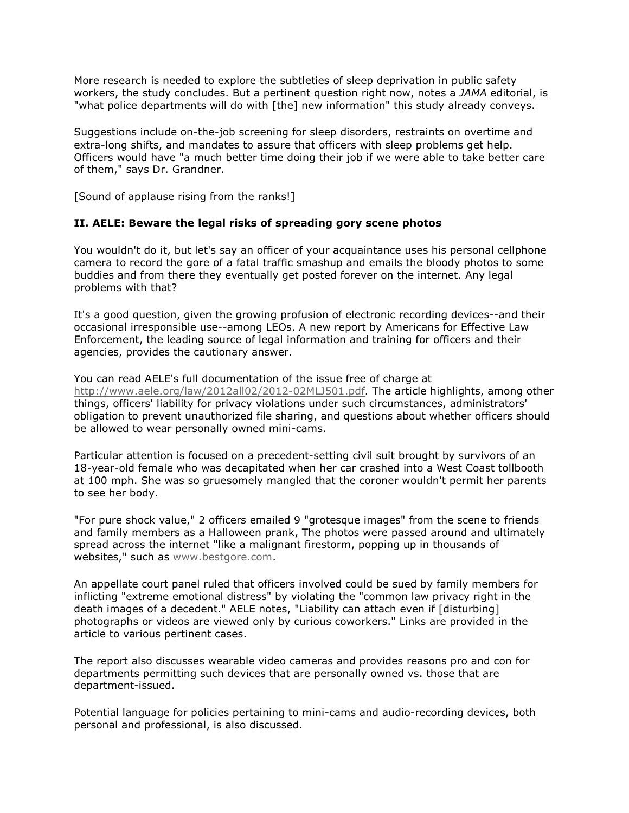More research is needed to explore the subtleties of sleep deprivation in public safety workers, the study concludes. But a pertinent question right now, notes a *JAMA* editorial, is "what police departments will do with [the] new information" this study already conveys.

Suggestions include on-the-job screening for sleep disorders, restraints on overtime and extra-long shifts, and mandates to assure that officers with sleep problems get help. Officers would have "a much better time doing their job if we were able to take better care of them," says Dr. Grandner.

[Sound of applause rising from the ranks!]

## **II. AELE: Beware the legal risks of spreading gory scene photos**

You wouldn't do it, but let's say an officer of your acquaintance uses his personal cellphone camera to record the gore of a fatal traffic smashup and emails the bloody photos to some buddies and from there they eventually get posted forever on the internet. Any legal problems with that?

It's a good question, given the growing profusion of electronic recording devices--and their occasional irresponsible use--among LEOs. A new report by Americans for Effective Law Enforcement, the leading source of legal information and training for officers and their agencies, provides the cautionary answer.

You can read AELE's full documentation of the issue free of charge at http://www.aele.org/law/2012all02/2012-02MLJ501.pdf. The article highlights, among other things, officers' liability for privacy violations under such circumstances, administrators' obligation to prevent unauthorized file sharing, and questions about whether officers should be allowed to wear personally owned mini-cams.

Particular attention is focused on a precedent-setting civil suit brought by survivors of an 18-year-old female who was decapitated when her car crashed into a West Coast tollbooth at 100 mph. She was so gruesomely mangled that the coroner wouldn't permit her parents to see her body.

"For pure shock value," 2 officers emailed 9 "grotesque images" from the scene to friends and family members as a Halloween prank, The photos were passed around and ultimately spread across the internet "like a malignant firestorm, popping up in thousands of websites," such as www.bestgore.com.

An appellate court panel ruled that officers involved could be sued by family members for inflicting "extreme emotional distress" by violating the "common law privacy right in the death images of a decedent." AELE notes, "Liability can attach even if [disturbing] photographs or videos are viewed only by curious coworkers." Links are provided in the article to various pertinent cases.

The report also discusses wearable video cameras and provides reasons pro and con for departments permitting such devices that are personally owned vs. those that are department-issued.

Potential language for policies pertaining to mini-cams and audio-recording devices, both personal and professional, is also discussed.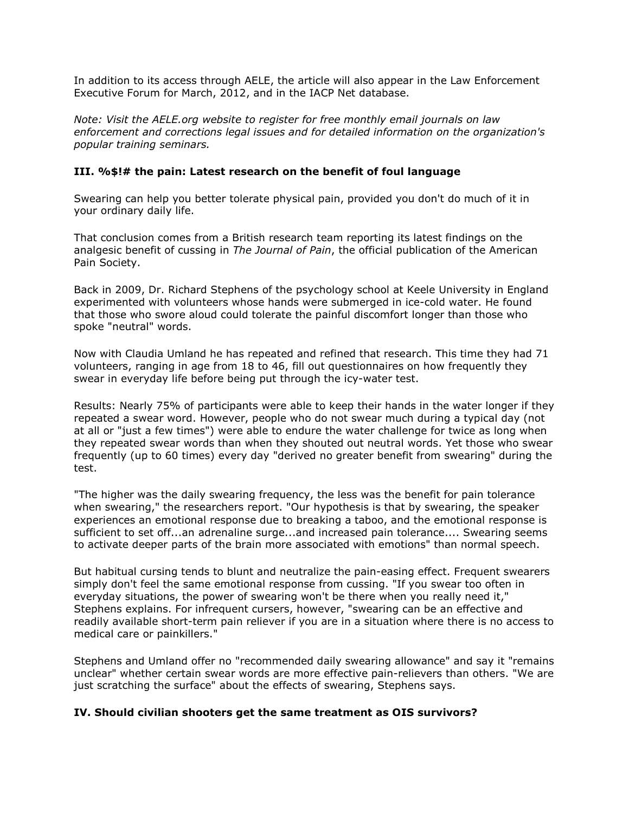In addition to its access through AELE, the article will also appear in the Law Enforcement Executive Forum for March, 2012, and in the IACP Net database.

*Note: Visit the AELE.org website to register for free monthly email journals on law enforcement and corrections legal issues and for detailed information on the organization's popular training seminars.*

## **III. %\$!# the pain: Latest research on the benefit of foul language**

Swearing can help you better tolerate physical pain, provided you don't do much of it in your ordinary daily life.

That conclusion comes from a British research team reporting its latest findings on the analgesic benefit of cussing in *The Journal of Pain*, the official publication of the American Pain Society.

Back in 2009, Dr. Richard Stephens of the psychology school at Keele University in England experimented with volunteers whose hands were submerged in ice-cold water. He found that those who swore aloud could tolerate the painful discomfort longer than those who spoke "neutral" words.

Now with Claudia Umland he has repeated and refined that research. This time they had 71 volunteers, ranging in age from 18 to 46, fill out questionnaires on how frequently they swear in everyday life before being put through the icy-water test.

Results: Nearly 75% of participants were able to keep their hands in the water longer if they repeated a swear word. However, people who do not swear much during a typical day (not at all or "just a few times") were able to endure the water challenge for twice as long when they repeated swear words than when they shouted out neutral words. Yet those who swear frequently (up to 60 times) every day "derived no greater benefit from swearing" during the test.

"The higher was the daily swearing frequency, the less was the benefit for pain tolerance when swearing," the researchers report. "Our hypothesis is that by swearing, the speaker experiences an emotional response due to breaking a taboo, and the emotional response is sufficient to set off...an adrenaline surge...and increased pain tolerance.... Swearing seems to activate deeper parts of the brain more associated with emotions" than normal speech.

But habitual cursing tends to blunt and neutralize the pain-easing effect. Frequent swearers simply don't feel the same emotional response from cussing. "If you swear too often in everyday situations, the power of swearing won't be there when you really need it," Stephens explains. For infrequent cursers, however, "swearing can be an effective and readily available short-term pain reliever if you are in a situation where there is no access to medical care or painkillers."

Stephens and Umland offer no "recommended daily swearing allowance" and say it "remains unclear" whether certain swear words are more effective pain-relievers than others. "We are just scratching the surface" about the effects of swearing, Stephens says.

## **IV. Should civilian shooters get the same treatment as OIS survivors?**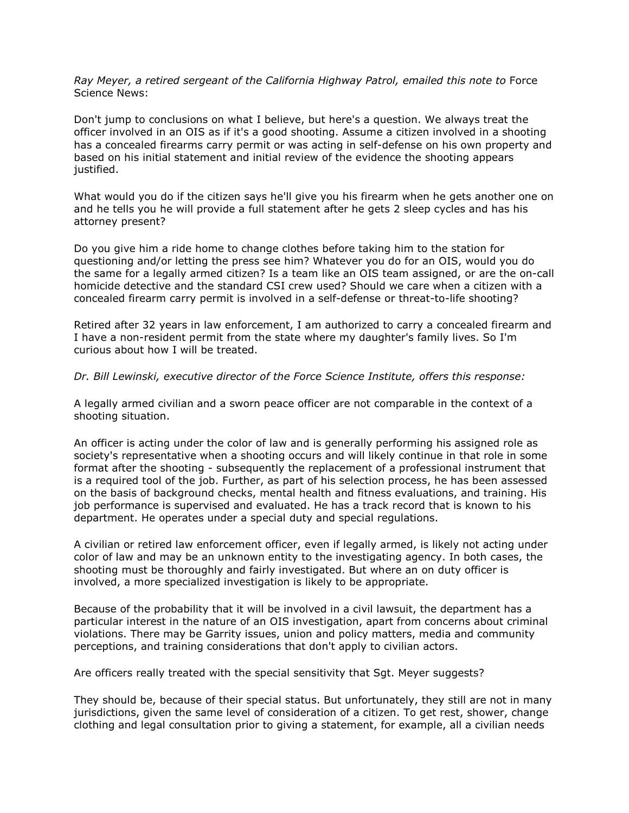*Ray Meyer, a retired sergeant of the California Highway Patrol, emailed this note to* Force Science News:

Don't jump to conclusions on what I believe, but here's a question. We always treat the officer involved in an OIS as if it's a good shooting. Assume a citizen involved in a shooting has a concealed firearms carry permit or was acting in self-defense on his own property and based on his initial statement and initial review of the evidence the shooting appears justified.

What would you do if the citizen says he'll give you his firearm when he gets another one on and he tells you he will provide a full statement after he gets 2 sleep cycles and has his attorney present?

Do you give him a ride home to change clothes before taking him to the station for questioning and/or letting the press see him? Whatever you do for an OIS, would you do the same for a legally armed citizen? Is a team like an OIS team assigned, or are the on-call homicide detective and the standard CSI crew used? Should we care when a citizen with a concealed firearm carry permit is involved in a self-defense or threat-to-life shooting?

Retired after 32 years in law enforcement, I am authorized to carry a concealed firearm and I have a non-resident permit from the state where my daughter's family lives. So I'm curious about how I will be treated.

*Dr. Bill Lewinski, executive director of the Force Science Institute, offers this response:*

A legally armed civilian and a sworn peace officer are not comparable in the context of a shooting situation.

An officer is acting under the color of law and is generally performing his assigned role as society's representative when a shooting occurs and will likely continue in that role in some format after the shooting - subsequently the replacement of a professional instrument that is a required tool of the job. Further, as part of his selection process, he has been assessed on the basis of background checks, mental health and fitness evaluations, and training. His job performance is supervised and evaluated. He has a track record that is known to his department. He operates under a special duty and special regulations.

A civilian or retired law enforcement officer, even if legally armed, is likely not acting under color of law and may be an unknown entity to the investigating agency. In both cases, the shooting must be thoroughly and fairly investigated. But where an on duty officer is involved, a more specialized investigation is likely to be appropriate.

Because of the probability that it will be involved in a civil lawsuit, the department has a particular interest in the nature of an OIS investigation, apart from concerns about criminal violations. There may be Garrity issues, union and policy matters, media and community perceptions, and training considerations that don't apply to civilian actors.

Are officers really treated with the special sensitivity that Sgt. Meyer suggests?

They should be, because of their special status. But unfortunately, they still are not in many jurisdictions, given the same level of consideration of a citizen. To get rest, shower, change clothing and legal consultation prior to giving a statement, for example, all a civilian needs